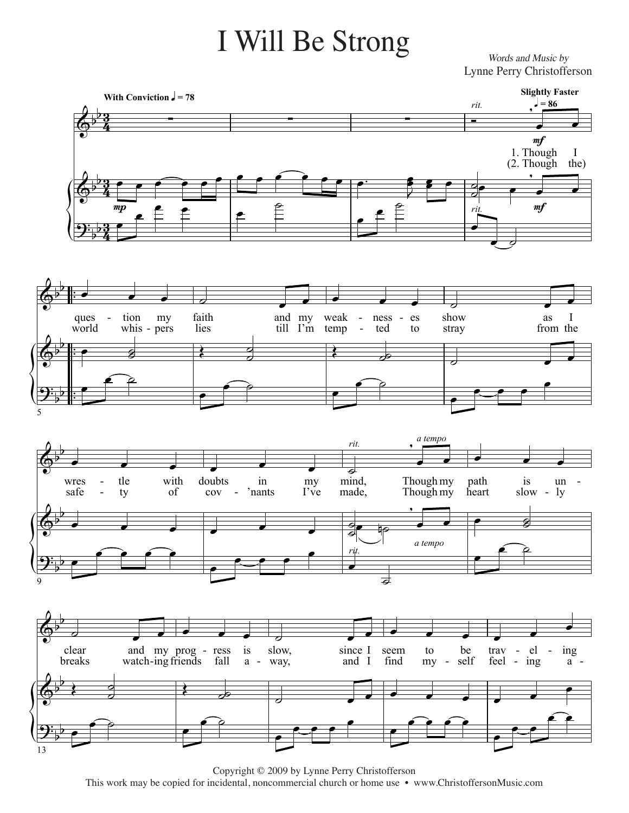## I Will Be Strong

Words and Music by Lynne Perry Christofferson



Copyright © 2009 by Lynne Perry Christofferson This work may be copied for incidental, noncommercial church or home use • www.ChristoffersonMusic.com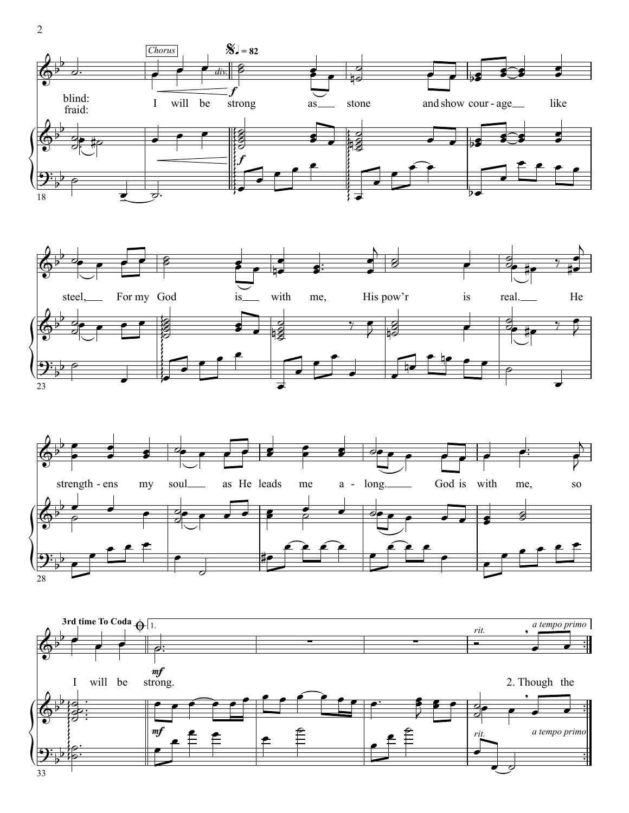







2 2